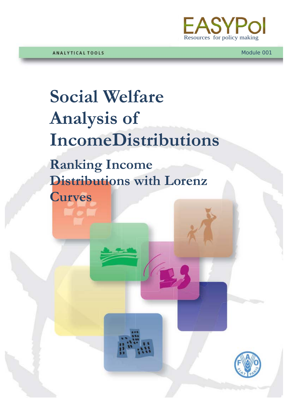

# **Social Welfare Analysis of IncomeDistributions**

**Ranking Income Distributions with Lorenz** 

**Curves**

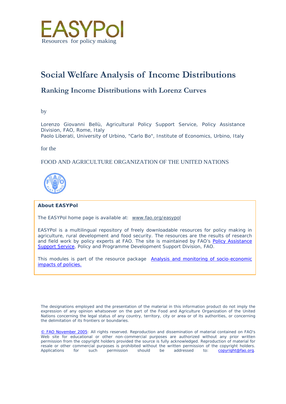

# **Social Welfare Analysis of Income Distributions**

# **Ranking Income Distributions with Lorenz Curves**

by

Lorenzo Giovanni Bellù, Agricultural Policy Support Service, Policy Assistance Division, FAO, Rome, Italy Paolo Liberati, University of Urbino, "Carlo Bo", Institute of Economics, Urbino, Italy

for the

# FOOD AND AGRICULTURE ORGANIZATION OF THE UNITED NATIONS



#### **About EASYPol**

The EASYPol home page is available at: *[www.fao.org/easypol](http://www.fao.org/easypol)*

EASYPol is a multilingual repository of freely downloadable resources for policy making in agriculture, rural development and food security. The resources are the results of research and field work by policy experts at FAO. The site is maintained by FAO's [Policy Assistance](http://www.fao.org/tc/policy-support)  [Support Service,](http://www.fao.org/tc/policy-support) Policy and Programme Development Support Division, FAO.

This modules is part of the resource package Analysis and monitoring of socio-economic [impacts of policies.](http://www.fao.org/easypol/output/browse_by_training_path.asp?Lchain=&id=303&id_cat=303&display=&first=&type=&latestrecords=&pub_id=303&abstr_type=&abstr=&menuitem=&ascdes=&ordenAnt=4&orden=4&boton=1&Direccion=4)

The designations employed and the presentation of the material in this information product do not imply the expression of any opinion whatsoever on the part of the Food and Agriculture Organization of the United Nations concerning the legal status of any country, territory, city or area or of its authorities, or concerning the delimitation of its frontiers or boundaries.

[© FAO November](http://www.fao.org/copyright_EN.htm) 2005: All rights reserved. Reproduction and dissemination of material contained on FAO's Web site for educational or other non-commercial purposes are authorized without any prior written permission from the copyright holders provided the source is fully acknowledged. Reproduction of material for resale or other commercial purposes is prohibited without the written permission of the copyright holders.<br>Applications for such permission should be addressed to: **copyright@fao.org**. Applications for such permission should be addressed to: **copyright@fao.org**.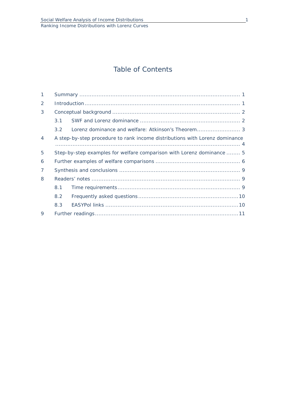# Table of Contents

| 1              |                                                                       |                                                                             |  |  |  |  |
|----------------|-----------------------------------------------------------------------|-----------------------------------------------------------------------------|--|--|--|--|
| $\mathcal{P}$  |                                                                       |                                                                             |  |  |  |  |
| 3              |                                                                       |                                                                             |  |  |  |  |
|                | 3.1                                                                   |                                                                             |  |  |  |  |
|                | $3.2^{\circ}$                                                         |                                                                             |  |  |  |  |
| $\overline{4}$ |                                                                       | A step-by-step procedure to rank income distributions with Lorenz dominance |  |  |  |  |
| 5              | Step-by-step examples for welfare comparison with Lorenz dominance  5 |                                                                             |  |  |  |  |
| 6              |                                                                       |                                                                             |  |  |  |  |
| $\overline{7}$ |                                                                       |                                                                             |  |  |  |  |
| 8              |                                                                       |                                                                             |  |  |  |  |
|                | 8.1                                                                   |                                                                             |  |  |  |  |
|                | 8.2                                                                   |                                                                             |  |  |  |  |
|                | 8.3                                                                   |                                                                             |  |  |  |  |
| $\mathsf Q$    |                                                                       |                                                                             |  |  |  |  |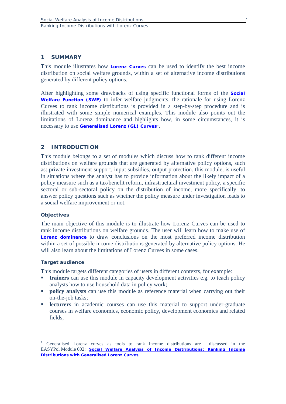## **1 SUMMARY**

This module illustrates how **[Lorenz Curves](http://www.fao.org/tc/easypol/output/glossary_term.asp?id=14901)** can be used to identify the best income distribution on social welfare grounds, within a set of alternative income distributions generated by different policy options.

After highlighting some drawbacks of using specific functional forms of the **[Social](http://www.fao.org/tc/easypol/output/glossary_term.asp?id=14941)  [Welfare Function \(SWF\)](http://www.fao.org/tc/easypol/output/glossary_term.asp?id=14941)** to infer welfare judgments, the rationale for using Lorenz Curves to rank income distributions is provided in a step-by-step procedure and is illustrated with some simple numerical examples. This module also points out the limitations of Lorenz dominance and highlights how, in some circumstances, it is necessary to use **Generalised [Lorenz \(GL\) Curves](http://www.fao.org/tc/easypol/output/glossary_term.asp?id=14942)**[1](#page-3-0) .

# **2 INTRODUCTION**

This module belongs to a set of modules which discuss how to rank different income distributions on welfare grounds that are generated by alternative policy options, such as: private investment support, input subsidies, output protection. this module, is useful in situations where the analyst has to provide information about the likely impact of a policy measure such as a tax/benefit reform, infrastructural investment policy, a specific sectoral or sub-sectoral policy on the distribution of income, more specifically, to answer policy questions such as whether the policy measure under investigation leads to a social welfare improvement or not.

#### **Objectives**

The main objective of this module is to illustrate how Lorenz Curves can be used to rank income distributions on welfare grounds. The user will learn how to make use of **[Lorenz dominance](http://www.fao.org/tc/easypol/output/glossary_term.asp?id=14922)** to draw conclusions on the most preferred income distribution within a set of possible income distributions generated by alternative policy options. He will also learn about the limitations of Lorenz Curves in some cases.

#### **Target audience**

 $\overline{a}$ 

This module targets different categories of users in different contexts, for example:

- **trainers** can use this module in capacity development activities e.g. to teach policy analysts how to use household data in policy work;
- **policy analysts** can use this module as reference material when carrying out their on-the-job tasks;
- **lecturers** in academic courses can use this material to support under-graduate courses in welfare economics, economic policy, development economics and related fields;

<span id="page-3-0"></span><sup>&</sup>lt;sup>1</sup> Generalised Lorenz curves as tools to rank income distributions are discussed in the EASYPol Module 002: *[Social Welfare Analysis of Income Distributions: Ranking Income](http://www.fao.org/docs/up/easypol/306/swa_gen_lorenzcurves_002en.pdf)  [Distributions with Generalised Lorenz Curves](http://www.fao.org/docs/up/easypol/306/swa_gen_lorenzcurves_002en.pdf).*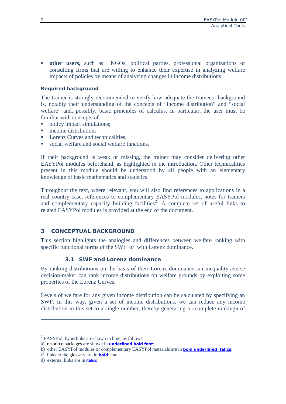**other users,** such as NGOs, political parties, professional organizations or consulting firms that are willing to enhance their expertise in analyzing welfare impacts of policies by means of analyzing changes in income distributions.

# **Required background**

The trainer is strongly recommended to verify how adequate the trainees' background is, notably their understanding of the concepts of "income distribution" and "social welfare" and, possibly, basic principles of calculus. In particular, the user must be familiar with concepts of:

- policy impact simulations;
- income distribution;
- Lorenz Curves and technicalities:
- social welfare and social welfare functions.

If their background is weak or missing, the trainer may consider delivering other EASYPol modules beforehand, as highlighted in the introduction. Other technicalities present in this module should be understood by all people with an elementary knowledge of basic mathematics and statistics.

Throughout the text, where relevant, you will also find references to applications in a real country case, references to complementary EASYPol modules, notes for trainers and complementary capacity building facilities<sup>[2](#page-4-0)</sup>. A complete set of useful links to related EASYPol modules is provided at the end of the document.

# **3 CONCEPTUAL BACKGROUND**

This section highlights the analogies and differences between welfare ranking with specific functional forms of the SWF or with Lorenz dominance.

# **3.1 SWF and Lorenz dominance**

By ranking distributions on the basis of their Lorenz dominance**,** an inequality-averse decision-maker can rank income distributions on welfare grounds by exploiting some properties of the Lorenz Curves.

Levels of welfare for any given income distribution can be calculated by specifying an SWF. In this way, given a set of income distributions, we can reduce any income distribution in this set to a single number, thereby generating a «complete ranking» of

 $\overline{a}$ 

 $2$  EASYPol hyperlinks are shown in blue, as follows:

<span id="page-4-0"></span>a) resource packages are shown in **underlined bold font**;

b) other EASYPol modules or complementary EASYPol materials are in *bold underlined italics*;

c) links to the glossary are in **bold**; and

d) external links are in *italics*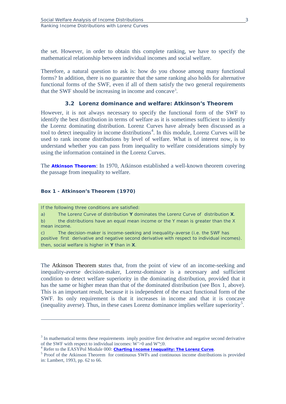the set. However, in order to obtain this complete ranking, we have to specify the mathematical relationship between individual incomes and social welfare.

Therefore, a natural question to ask is: how do you choose among many functional forms? In addition, there is no guarantee that the same ranking also holds for alternative functional forms of the SWF, even if all of them satisfy the two general requirements that the SWF should be increasing in income and concave<sup>[3](#page-5-0)</sup>.

#### **3.2 Lorenz dominance and welfare: Atkinson's Theorem**

However, it is not always necessary to specify the functional form of the SWF to identify the best distribution in terms of welfare as it is sometimes sufficient to identify the Lorenz dominating distribution. Lorenz Curves have already been discussed as a tool to detect inequality in income distributions<sup>[4](#page-5-1)</sup>. In this module, Lorenz Curves will be used to rank income distributions by level of welfare. What is of interest now, is to understand whether you can pass from inequality to welfare considerations simply by using the information contained in the Lorenz Curves.

The **[Atkinson Theorem](http://www.fao.org/tc/easypol/output/glossary_term.asp?id=14943)**: In 1970, Atkinson established a well-known theorem covering the passage from inequality to welfare.

#### **Box 1 - Atkinson's Theorem (1970)**

If the following three conditions are satisfied:

a) The Lorenz Curve of distribution **Y** dominates the Lorenz Curve of distribution **X**. b) the distributions have an equal mean income or the Y mean is greater than the X

mean income.

 $\overline{a}$ 

c) The decision-maker is income-seeking and inequality-averse (i.e. the SWF has positive first derivative and negative second derivative with respect to individual incomes). then, social welfare is higher in **Y** than in **X**.

The Atkinson Theorem states that, from the point of view of an income-seeking and inequality-averse decision-maker, Lorenz-dominace is a necessary and sufficient condition to detect welfare superiority in the dominating distribution, provided that it has the same or higher mean than that of the dominated distribution (see Box 1, above). This is an important result, because it is independent of the exact functional form of the SWF. Its only requirement is that it increases in income and that it is concave (inequality averse). Thus, in these cases Lorenz dominance implies welfare superiority[5](#page-5-2) .

<span id="page-5-0"></span><sup>&</sup>lt;sup>3</sup> In mathematical terms these requirements imply positive first derivative and negative second derivative of the SWF with respect to individual incomes: W'>0 and W" $\leq$ 0.

<span id="page-5-2"></span><span id="page-5-1"></span><sup>&</sup>lt;sup>4</sup> Refer to the EASYPol Module 000: **[Charting Income Inequality: The Lorenz Curve](http://www.fao.org/docs/up/easypol/302/charting_income_inequality_000en.pdf)**.<br><sup>5</sup> Proof of the Atkinson Theorem for continuous SWFs and continuous income distributions is provided in: Lambert, 1993, pp. 62 to 66.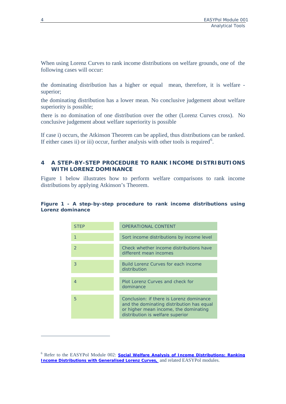When using Lorenz Curves to rank income distributions on welfare grounds, one of the following cases will occur:

the dominating distribution has a higher or equal mean, therefore, it is welfare superior;

the dominating distribution has a lower mean. No conclusive judgement about welfare superiority is possible;

there is no domination of one distribution over the other (Lorenz Curves cross). No conclusive judgement about welfare superiority is possible

If case i) occurs, the Atkinson Theorem can be applied, thus distributions can be ranked. If either cases ii) or iii) occur, further analysis with other tools is required<sup>[6](#page-6-0)</sup>.

# **4 A STEP-BY-STEP PROCEDURE TO RANK INCOME DISTRIBUTIONS WITH LORENZ DOMINANCE**

Figure 1 below illustrates how to perform welfare comparisons to rank income distributions by applying Atkinson's Theorem.

## **Figure 1 - A step-by-step procedure to rank income distributions using Lorenz dominance**

| <b>STEP</b>              | <b>OPERATIONAL CONTENT</b>                                                                                                                                         |
|--------------------------|--------------------------------------------------------------------------------------------------------------------------------------------------------------------|
| 1                        | Sort income distributions by income level                                                                                                                          |
| $\mathcal{P}$            | Check whether income distributions have<br>different mean incomes                                                                                                  |
| 3                        | Build Lorenz Curves for each income<br>distribution                                                                                                                |
| $\boldsymbol{\varDelta}$ | Plot Lorenz Curves and check for                                                                                                                                   |
|                          | dominance                                                                                                                                                          |
|                          |                                                                                                                                                                    |
| 5                        | Conclusion: if there is Lorenz dominance<br>and the dominating distribution has equal<br>or higher mean income, the dominating<br>distribution is welfare superior |

 $\overline{a}$ 

<span id="page-6-0"></span><sup>&</sup>lt;sup>6</sup> Refer to the EASYPol Module 002: **Social Welfare Analysis of Income Distributions: Ranking** *[Income Distributions with Generalised Lorenz Curves](http://www.fao.org/docs/up/easypol/306/swa_gen_lorenzcurves_002en.pdf),* and related EASYPol modules.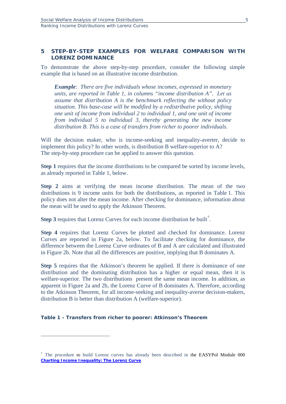# **5 STEP-BY-STEP EXAMPLES FOR WELFARE COMPARISON WITH LORENZ DOMINANCE**

To demonstrate the above step-by-step procedure, consider the following simple example that is based on an illustrative income distribution.

*Example: There are five individuals whose incomes, expressed in monetary units, are reported in Table 1, in columns "income distribution A". Let us assume that distribution A is the benchmark reflecting the without policy situation. This base-case will be modified by a redistributive policy, shifting one unit of income from individual 2 to individual 1, and one unit of income from individual 5 to individual 3, thereby generating the new income distribution B. This is a case of transfers from richer to poorer individuals.* 

Will the decision maker, who is income-seeking and inequality-averter, decide to implement this policy? In other words, is distribution B welfare-superior to A? The step-by-step procedure can be applied to answer this question.

**Step 1** requires that the income distributions to be compared be sorted by income levels, as already reported in Table 1, below.

**Step 2** aims at verifying the mean income distribution. The mean of the two distributions is 9 income units for both the distributions, as reported in Table 1. This policy does not alter the mean income. After checking for dominance, information about the mean will be used to apply the Atkinson Theorem.

**Step 3** requires that Lorenz Curves for each income distribution be built<sup>[7](#page-7-0)</sup>.

**Step 4** requires that Lorenz Curves be plotted and checked for dominance. Lorenz Curves are reported in Figure 2a, below. To facilitate checking for dominance, the difference between the Lorenz Curve ordinates of B and A are calculated and illustrated in Figure 2b. Note that all the differences are positive, implying that B dominates A.

**Step 5** requires that the Atkinson's theorem be applied. If there is dominance of one distribution and the dominating distribution has a higher or equal mean, then it is welfare-superior. The two distributions present the same mean income. In addition, as apparent in Figure 2a and 2b, the Lorenz Curve of B dominates A. Therefore, according to the Atkinson Theorem, for all income-seeking and inequality-averse decision-makers, distribution B is better than distribution A (welfare-superior).

#### **Table 1 - Transfers from richer to poorer: Atkinson's Theorem**

 $\overline{a}$ 

<span id="page-7-0"></span> $7$  The procedure to build Lorenz curves has already been described in the EASYPol Module 000 *[Charting Income Inequality: The Lorenz Curve](http://www.fao.org/docs/up/easypol/302/charting_income_inequality_000en.pdf)*.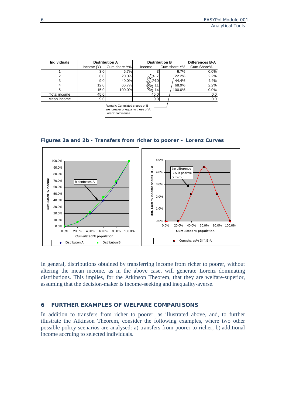| <b>Individuals</b> |           | <b>Distribution A</b> | <b>Distribution B</b> | <b>Differences B-A</b> |            |
|--------------------|-----------|-----------------------|-----------------------|------------------------|------------|
|                    | Income(Y) | Cum.share Y%          | Income                | Cum.share Y%           | Cum.Share% |
|                    | 3.0       | 6.7%                  |                       | 6.7%                   | $0.0\%$    |
| 2                  | 6.0       | 20.0%                 |                       | 22.2%                  | 2.2%       |
| 3                  | 9.0       | 40.0%                 |                       | 44.4%                  | 4.4%       |
| 4                  | 12.0      | 66.7%                 |                       | 68.9%                  | 2.2%       |
| 5                  | 15.0      | 100.0%                | 14                    | 100.0%                 | $0.0\%$    |
| Total income       | 45.0      |                       | 45.0                  |                        | 0.0        |
| Mean income        | 9.0       |                       | 9.0                   |                        | 0.0        |
|                    |           |                       |                       |                        |            |





In general, distributions obtained by transferring income from richer to poorer, without altering the mean income, as in the above case, will generate Lorenz dominating distributions. This implies, for the Atkinson Theorem, that they are welfare-superior, assuming that the decision-maker is income-seeking and inequality-averse.

#### **6 FURTHER EXAMPLES OF WELFARE COMPARISONS**

In addition to transfers from richer to poorer, as illustrated above, and, to further illustrate the Atkinson Theorem, consider the following examples, where two other possible policy scenarios are analysed: a) transfers from poorer to richer; b) additional income accruing to selected individuals.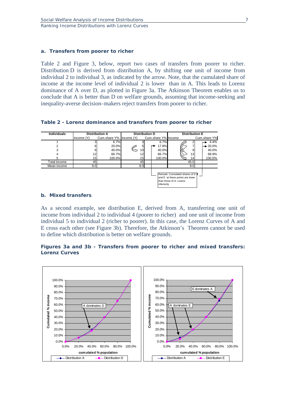#### **a. Transfers from poorer to richer**

Table 2 and Figure 3, below, report two cases of transfers from poorer to richer. Distribution D is derived from distribution A, by shifting one unit of income from individual 2 to individual 3, as indicated by the arrow. Note, that the cumulated share of income at the income level of individual 2 is lower than in A. This leads to Lorenz dominance of A over D, as plotted in Figure 3a. The Atkinson Theorem enables us to conclude that A is better than D on welfare grounds, assuming that income-seeking and inequality-averse decision–makers reject transfers from poorer to richer.

**Table 2 - Lorenz dominance and transfers from poorer to richer**

| <b>Individuals</b> | <b>Distribution A</b> |                         | <b>Distribution D</b> |  |                     | <b>Distribution E</b>                                                                          |  |                      |
|--------------------|-----------------------|-------------------------|-----------------------|--|---------------------|------------------------------------------------------------------------------------------------|--|----------------------|
|                    | Income (Y)            | Cum.share Y% Income (Y) |                       |  | Cum.share Y% Income |                                                                                                |  | Cum.share Y%         |
|                    |                       | 6.7%                    |                       |  | 6.7%                |                                                                                                |  | 4.4%                 |
| 2                  | 6                     | 20.0%                   | 5                     |  | 17.8%               |                                                                                                |  | $\rightarrow 20.0\%$ |
|                    |                       | 40.0%                   | 10                    |  | 40.0%               | 9                                                                                              |  | 40.0%                |
|                    | 12 <sub>1</sub>       | 66.7%                   | 12                    |  | 66.7%               | 13                                                                                             |  | 68.9%                |
| 5                  | 15 <sub>l</sub>       | 100.0%                  | 15                    |  | 100.0%              | 14                                                                                             |  | 100.0%               |
| Total income       | 45                    |                         | 45                    |  |                     | 45.0                                                                                           |  |                      |
| Mean income        | 9.0                   |                         | 9.0                   |  |                     | 9.0                                                                                            |  |                      |
|                    |                       |                         |                       |  | linferioritv        | Remark: Cumulated shares of D II<br>and E at these points are lower<br>than those of A: Lorenz |  |                      |

# **b. Mixed transfers**

As a second example, see distribution E, derived from A, transferring one unit of income from individual 2 to individual 4 (poorer to richer) and one unit of income from individual 5 to individual 2 (richer to poorer). In this case, the Lorenz Curves of A and E cross each other (see Figure 3b). Therefore, the Atkinson's Theorem cannot be used to define which distribution is better on welfare grounds.

# **Figures 3a and 3b - Transfers from poorer to richer and mixed transfers: Lorenz Curves**

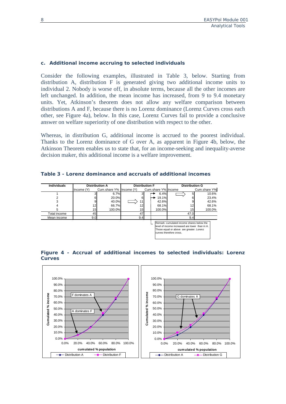## **c. Additional income accruing to selected individuals**

Consider the following examples, illustrated in Table 3, below. Starting from distribution A, distribution F is generated giving two additional income units to individual 2. Nobody is worse off, in absolute terms, because all the other incomes are left unchanged. In addition, the mean income has increased, from 9 to 9.4 monetary units. Yet, Atkinson's theorem does not allow any welfare comparison between distributions A and F, because there is no Lorenz dominance (Lorenz Curves cross each other, see Figure 4a), below. In this case, Lorenz Curves fail to provide a conclusive answer on welfare superiority of one distribution with respect to the other.

Whereas, in distribution G, additional income is accrued to the poorest individual. Thanks to the Lorenz dominance of G over A, as apparent in Figure 4b, below, the Atkinson Theorem enables us to state that, for an income-seeking and inequality-averse decision maker, this additional income is a welfare improvement.

| Table 3 - Lorenz dominance and accruals of additional incomes |  |
|---------------------------------------------------------------|--|
|---------------------------------------------------------------|--|

| <b>Individuals</b>                                                                                                                                                 | <b>Distribution A</b> |                         | <b>Distribution F</b> |  |                     | <b>Distribution G</b> |              |  |
|--------------------------------------------------------------------------------------------------------------------------------------------------------------------|-----------------------|-------------------------|-----------------------|--|---------------------|-----------------------|--------------|--|
|                                                                                                                                                                    | Income (Y)            | Cum.share Y% Income (Y) |                       |  | Cum.share Y% Income |                       | Cum.share Y% |  |
|                                                                                                                                                                    |                       | 6.7%                    |                       |  | 6.4%                |                       | 10.6%        |  |
|                                                                                                                                                                    |                       | 20.0%                   | 6                     |  | 19.1%               |                       | 23.4%        |  |
|                                                                                                                                                                    |                       | 40.0%                   | 11                    |  | 42.6%               |                       | 42.6%        |  |
|                                                                                                                                                                    | 12 <sub>1</sub>       | 66.7%                   |                       |  | 68.1%               | 12                    | 68.1%        |  |
| 5                                                                                                                                                                  | 15                    | 100.0%                  | 15 <sub>l</sub>       |  | 100.0%              | 15                    | 100.0%       |  |
| Total income                                                                                                                                                       | 45                    |                         | 47                    |  |                     | 47.0                  |              |  |
| Mean income                                                                                                                                                        | 9.0                   |                         | 9.4                   |  |                     | 9.4                   |              |  |
| Remark: cumulated income shares below the<br>level of income increased are lower than in A.<br>Those equal or above are greater. Lorenz<br>curves therefore cross. |                       |                         |                       |  |                     |                       |              |  |



**Figure 4 - Accrual of additional incomes to selected individuals: Lorenz Curves**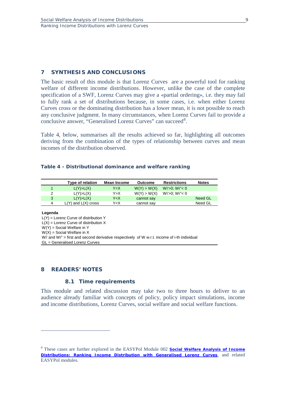# **7 SYNTHESIS AND CONCLUSIONS**

The basic result of this module is that Lorenz Curves are a powerful tool for ranking welfare of different income distributions. However, unlike the case of the complete specification of a SWF, Lorenz Curves may give a «partial ordering», i.e. they may fail to fully rank a set of distributions because, in some cases, i.e. when either Lorenz Curves cross or the dominating distribution has a lower mean, it is not possible to reach any conclusive judgment. In many circumstances, when Lorenz Curves fail to provide a conclusive answer, "Generalised Lorenz Curves" can succeed<sup>[8](#page-11-0)</sup>.

Table 4, below, summarises all the results achieved so far, highlighting all outcomes deriving from the combination of the types of relationship between curves and mean incomes of the distribution observed.

#### **Table 4 - Distributional dominance and welfare ranking**

|   | Type of relation        | Mean Income                                                   | Outcome     | <b>Restrictions</b>  | <b>Notes</b> |
|---|-------------------------|---------------------------------------------------------------|-------------|----------------------|--------------|
|   | L(Y) > L(X)             | Y=X                                                           | W(Y) > W(X) | $Wi > 0$ ; $Wi' < 0$ |              |
| 2 | L(Y) > L(X)             | Y>X                                                           | W(Y) > W(X) | Wi'>0; Wi"< 0        |              |
| 3 | L(Y) > L(X)             | Y <x< td=""><td>cannot say</td><td></td><td>Need GL</td></x<> | cannot say  |                      | Need GL      |
| 4 | $L(Y)$ and $L(X)$ cross | Y <x< td=""><td>cannot say</td><td></td><td>Need GL</td></x<> | cannot say  |                      | Need GL      |

#### **Legenda**

 $\overline{a}$ 

 $L(Y)$  = Lorenz Curve of distribution Y  $L(X) =$  Lorenz Curve of distribution X W(Y) = Social Welfare in Y  $W(X)$  = Social Welfare in X Wi' and Wi" = first and second derivative respectively of W w.r.t. income of i-th individual GL = Generalised Lorenz Curves

#### **8 READERS' NOTES**

#### **8.1 Time requirements**

This module and related discussion may take two to three hours to deliver to an audience already familiar with concepts of policy, policy impact simulations, income and income distributions, Lorenz Curves, social welfare and social welfare functions.

<span id="page-11-0"></span><sup>8</sup> These cases are further explored in the EASYPol Module 002 *[Social Welfare Analysis of Income](http://www.fao.org/docs/up/easypol/306/swa_gen_lorenzcurves_002en.pdf)  [Distributions: Ranking Income Distribution with Generalised Lorenz Curves](http://www.fao.org/docs/up/easypol/306/swa_gen_lorenzcurves_002en.pdf)*, and related EASYPol modules.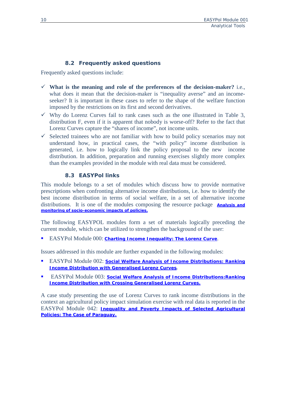# **8.2 Frequently asked questions**

Frequently asked questions include:

- **What is the meaning and role of the preferences of the decision-maker?** i.e., what does it mean that the decision-maker is "inequality averse" and an incomeseeker? It is important in these cases to refer to the shape of the welfare function imposed by the restrictions on its first and second derivatives.
- $\checkmark$  Why do Lorenz Curves fail to rank cases such as the one illustrated in Table 3, distribution F, even if it is apparent that nobody is worse-off? Refer to the fact that Lorenz Curves capture the "shares of income", not income units.
- $\checkmark$  Selected trainees who are not familiar with how to build policy scenarios may not understand how, in practical cases, the "with policy" income distribution is generated, i.e. how to logically link the policy proposal to the new income distribution. In addition, preparation and running exercises slightly more complex than the examples provided in the module with real data must be considered.

# **8.3 EASYPol links**

This module belongs to a set of modules which discuss how to provide normative prescriptions when confronting alternative income distributions, i.e. how to identify the best income distribution in terms of social welfare, in a set of alternative income distributions. It is one of the modules composing the resource package **[Analysis and](http://www.fao.org/easypol/output/browse_by_training_path.asp?Lchain=&id=303&id_cat=303&display=&first=&type=&latestrecords=&pub_id=303&abstr_type=&abstr=&menuitem=&ascdes=&ordenAnt=4&orden=4&boton=1&Direccion=4)  [monitoring of socio-economic impacts of policies.](http://www.fao.org/easypol/output/browse_by_training_path.asp?Lchain=&id=303&id_cat=303&display=&first=&type=&latestrecords=&pub_id=303&abstr_type=&abstr=&menuitem=&ascdes=&ordenAnt=4&orden=4&boton=1&Direccion=4)**

The following EASYPOL modules form a set of materials logically preceding the current module, which can be utilized to strengthen the background of the user:

EASYPol Module 000: *[Charting Income Inequality: The Lorenz Curve](http://www.fao.org/docs/up/easypol/302/charting_income_inequality_000en.pdf)*.

Issues addressed in this module are further expanded in the following modules:

- EASYPol Module 002: *[Social Welfare Analysis of Income Distributions: Ranking](http://www.fao.org/docs/up/easypol/306/swa_gen_lorenzcurves_002en.pdf)  [Income Distribution with Generalised Lorenz Curves](http://www.fao.org/docs/up/easypol/306/swa_gen_lorenzcurves_002en.pdf).*
- EASYPol Module 003: *[Social Welfare Analysis of Income Distributions:Ranking](http://www.fao.org/docs/up/easypol/307/swa_crsgenlc_003en.pdf)  [Income Distribution with Crossing Generalised](http://www.fao.org/docs/up/easypol/307/swa_crsgenlc_003en.pdf) Lorenz Curves.*

A case study presenting the use of Lorenz Curves to rank income distributions in the context an agricultural policy impact simulation exercise with real data is reported in the EASYPol Module 042: *[Inequality and Poverty Impacts of Selected Agricultural](http://www.fao.org/docs/up/easypol/320/paraguay_cs_042en.pdf)  [Policies: The Case of Paraguay.](http://www.fao.org/docs/up/easypol/320/paraguay_cs_042en.pdf)*